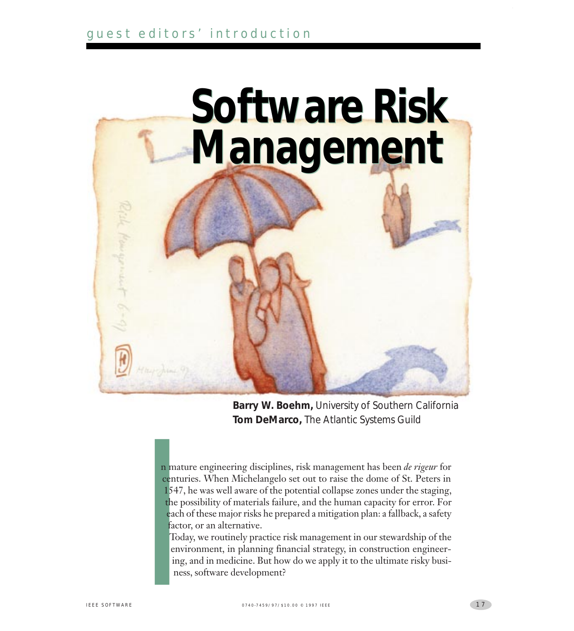

**Barry W. Boehm,** University of Southern California **Tom DeMarco,** The Atlantic Systems Guild

**n** mat<br>
centu<br>
1547<br>
the p<br>
each<br>
fact<br>
Tod<br>
env<br>
ing<br>
nes n mature engineering disciplines, risk management has been *de rigeur* for centuries. When Michelangelo set out to raise the dome of St. Peters in 1547, he was well aware of the potential collapse zones under the staging, the possibility of materials failure, and the human capacity for error. For each of these major risks he prepared a mitigation plan: a fallback, a safety factor, or an alternative.

Today, we routinely practice risk management in our stewardship of the environment, in planning financial strategy, in construction engineering, and in medicine. But how do we apply it to the ultimate risky business, software development?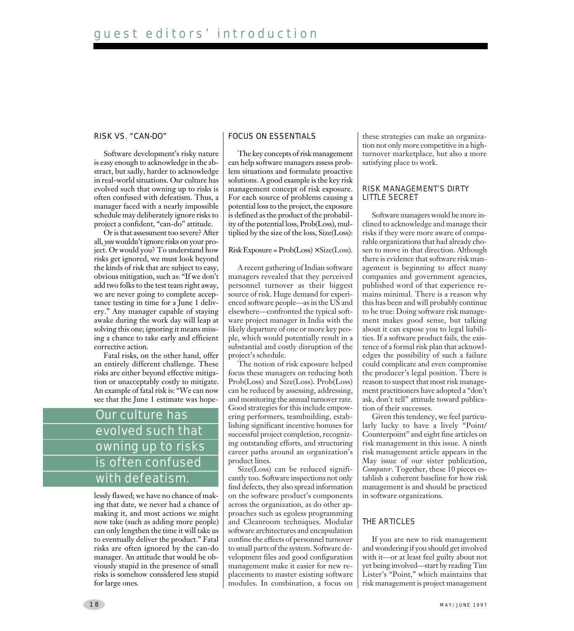## RISK VS. "CAN-DO"

Software development's risky nature is easy enough to acknowledge in the abstract, but sadly, harder to acknowledge in real-world situations. Our culture has evolved such that owning up to risks is often confused with defeatism. Thus, a manager faced with a nearly impossible schedule may deliberately ignore risks to project a confident, "can-do" attitude.

Or is that assessment too severe? After all, *you* wouldn't ignore risks on your project. Or would you? To understand how risks get ignored, we must look beyond the kinds of risk that are subject to easy, obvious mitigation, such as: "If we don't add two folks to the test team right away, we are never going to complete acceptance testing in time for a June 1 delivery." Any manager capable of staying awake during the work day will leap at solving this one; ignoring it means missing a chance to take early and efficient corrective action.

Fatal risks, on the other hand, offer an entirely different challenge. These risks are either beyond effective mitigation or unacceptably costly to mitigate. An example of fatal risk is: "We can now see that the June 1 estimate was hope-

# Our culture has evolved such that owning up to risks is often confused with defeatism.

lessly flawed; we have no chance of making that date, we never had a chance of making it, and most actions we might now take (such as adding more people) can only lengthen the time it will take us to eventually deliver the product." Fatal risks are often ignored by the can-do manager. An attitude that would be obviously stupid in the presence of small risks is somehow considered less stupid for large ones.

## FOCUS ON ESSENTIALS

The key concepts of risk management can help software managers assess problem situations and formulate proactive solutions. A good example is the key risk management concept of risk exposure. For each source of problems causing a potential loss to the project, the exposure is defined as the product of the probability of the potential loss, Prob(Loss), multiplied by the size of the loss, Size(Loss):

#### $Risk\,Exposure = Prob(Loss) \times Size(Loss).$

A recent gathering of Indian software managers revealed that they perceived personnel turnover as their biggest source of risk. Huge demand for experienced software people—as in the US and elsewhere—confronted the typical software project manager in India with the likely departure of one or more key people, which would potentially result in a substantial and costly disruption of the project's schedule.

The notion of risk exposure helped focus these managers on reducing both Prob(Loss) and Size(Loss). Prob(Loss) can be reduced by assessing, addressing, and monitoring the annual turnover rate. Good strategies for this include empowering performers, teambuilding, establishing significant incentive bonuses for successful project completion, recognizing outstanding efforts, and structuring career paths around an organization's product lines.

Size(Loss) can be reduced significantly too. Software inspections not only find defects, they also spread information on the software product's components across the organization, as do other approaches such as egoless programming and Cleanroom techniques. Modular software architectures and encapsulation confine the effects of personnel turnover to small parts of the system. Software development files and good configuration management make it easier for new replacements to master existing software modules. In combination, a focus on

these strategies can make an organization not only more competitive in a highturnover marketplace, but also a more satisfying place to work.

### RISK MANAGEMENT'S DIRTY LITTLE SECRET

Software managers would be more inclined to acknowledge and manage their risks if they were more aware of comparable organizations that had already chosen to move in that direction. Although there is evidence that software risk management is beginning to affect many companies and government agencies, published word of that experience remains minimal. There is a reason why this has been and will probably continue to be true: Doing software risk management makes good sense, but talking about it can expose you to legal liabilities. If a software product fails, the existence of a formal risk plan that acknowledges the possibility of such a failure could complicate and even compromise the producer's legal position. There is reason to suspect that most risk management practitioners have adopted a "don't ask, don't tell" attitude toward publication of their successes.

Given this tendency, we feel particularly lucky to have a lively "Point/ Counterpoint" and eight fine articles on risk management in this issue. A ninth risk management article appears in the May issue of our sister publication, *Computer*. Together, these 10 pieces establish a coherent baseline for how risk management is and should be practiced in software organizations.

### THE ARTICLES

If you are new to risk management and wondering if you should get involved with it—or at least feel guilty about not yet being involved—start by reading Tim Lister's "Point," which maintains that risk management is project management